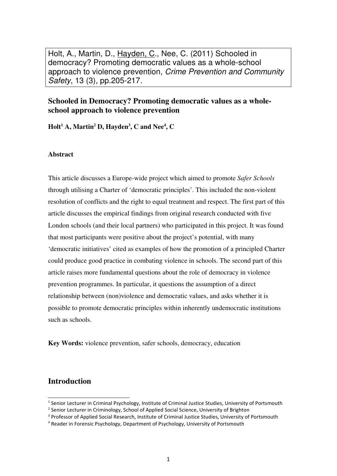Holt, A., Martin, D., Hayden, C., Nee, C. (2011) Schooled in democracy? Promoting democratic values as a whole-school approach to violence prevention, Crime Prevention and Community Safety, 13 (3), pp.205-217.

# **Schooled in Democracy? Promoting democratic values as a wholeschool approach to violence prevention**

**Holt<sup>1</sup> A, Martin<sup>2</sup> D, Hayden<sup>3</sup> , C and Nee<sup>4</sup> , C**

### **Abstract**

This article discusses a Europe-wide project which aimed to promote *Safer Schools* through utilising a Charter of 'democratic principles'. This included the non-violent resolution of conflicts and the right to equal treatment and respect. The first part of this article discusses the empirical findings from original research conducted with five London schools (and their local partners) who participated in this project. It was found that most participants were positive about the project's potential, with many 'democratic initiatives' cited as examples of how the promotion of a principled Charter could produce good practice in combating violence in schools. The second part of this article raises more fundamental questions about the role of democracy in violence prevention programmes. In particular, it questions the assumption of a direct relationship between (non)violence and democratic values, and asks whether it is possible to promote democratic principles within inherently undemocratic institutions such as schools.

**Key Words:** violence prevention, safer schools, democracy, education

# **Introduction**

<sup>1</sup> Senior Lecturer in Criminal Psychology, Institute of Criminal Justice Studies, University of Portsmouth

<sup>&</sup>lt;sup>2</sup> Senior Lecturer in Criminology, School of Applied Social Science, University of Brighton

<sup>&</sup>lt;sup>3</sup> Professor of Applied Social Research, Institute of Criminal Justice Studies, University of Portsmouth

<sup>&</sup>lt;sup>4</sup> Reader in Forensic Psychology, Department of Psychology, University of Portsmouth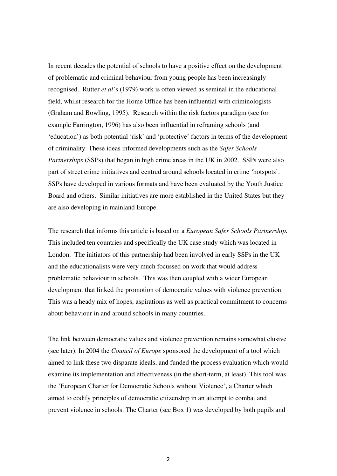In recent decades the potential of schools to have a positive effect on the development of problematic and criminal behaviour from young people has been increasingly recognised. Rutter *et al*'s (1979) work is often viewed as seminal in the educational field, whilst research for the Home Office has been influential with criminologists (Graham and Bowling, 1995). Research within the risk factors paradigm (see for example Farrington, 1996) has also been influential in reframing schools (and 'education') as both potential 'risk' and 'protective' factors in terms of the development of criminality. These ideas informed developments such as the *Safer Schools Partnerships* (SSPs) that began in high crime areas in the UK in 2002. SSPs were also part of street crime initiatives and centred around schools located in crime 'hotspots'. SSPs have developed in various formats and have been evaluated by the Youth Justice Board and others. Similar initiatives are more established in the United States but they are also developing in mainland Europe.

The research that informs this article is based on a *European Safer Schools Partnership.* This included ten countries and specifically the UK case study which was located in London. The initiators of this partnership had been involved in early SSPs in the UK and the educationalists were very much focussed on work that would address problematic behaviour in schools. This was then coupled with a wider European development that linked the promotion of democratic values with violence prevention. This was a heady mix of hopes, aspirations as well as practical commitment to concerns about behaviour in and around schools in many countries.

The link between democratic values and violence prevention remains somewhat elusive (see later). In 2004 the *Council of Europe* sponsored the development of a tool which aimed to link these two disparate ideals, and funded the process evaluation which would examine its implementation and effectiveness (in the short-term, at least). This tool was the 'European Charter for Democratic Schools without Violence', a Charter which aimed to codify principles of democratic citizenship in an attempt to combat and prevent violence in schools. The Charter (see Box 1) was developed by both pupils and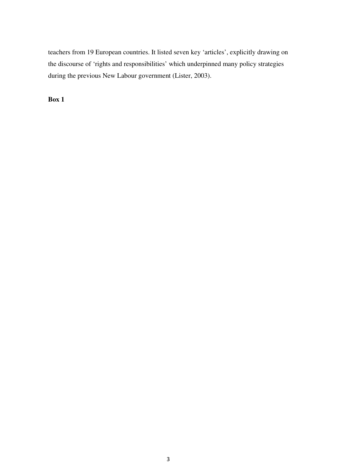teachers from 19 European countries. It listed seven key 'articles', explicitly drawing on the discourse of 'rights and responsibilities' which underpinned many policy strategies during the previous New Labour government (Lister, 2003).

**Box 1**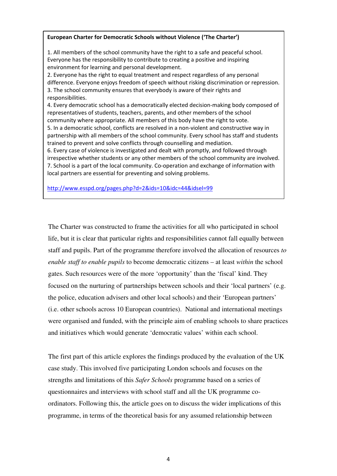#### European Charter for Democratic Schools without Violence ('The Charter')

1. All members of the school community have the right to a safe and peaceful school. Everyone has the responsibility to contribute to creating a positive and inspiring environment for learning and personal development.

2. Everyone has the right to equal treatment and respect regardless of any personal difference. Everyone enjoys freedom of speech without risking discrimination or repression. 3. The school community ensures that everybody is aware of their rights and responsibilities.

4. Every democratic school has a democratically elected decision-making body composed of representatives of students, teachers, parents, and other members of the school community where appropriate. All members of this body have the right to vote. 5. In a democratic school, conflicts are resolved in a non-violent and constructive way in partnership with all members of the school community. Every school has staff and students trained to prevent and solve conflicts through counselling and mediation.

6. Every case of violence is investigated and dealt with promptly, and followed through irrespective whether students or any other members of the school community are involved. 7. School is a part of the local community. Co-operation and exchange of information with local partners are essential for preventing and solving problems.

http://www.esspd.org/pages.php?d=2&ids=10&idc=44&idsel=99

The Charter was constructed to frame the activities for all who participated in school life, but it is clear that particular rights and responsibilities cannot fall equally between staff and pupils. Part of the programme therefore involved the allocation of resources *to enable staff to enable pupils* to become democratic citizens – at least *within* the school gates. Such resources were of the more 'opportunity' than the 'fiscal' kind. They focused on the nurturing of partnerships between schools and their 'local partners' (e.g. the police, education advisers and other local schools) and their 'European partners' (i.e. other schools across 10 European countries). National and international meetings were organised and funded, with the principle aim of enabling schools to share practices and initiatives which would generate 'democratic values' within each school.

The first part of this article explores the findings produced by the evaluation of the UK case study. This involved five participating London schools and focuses on the strengths and limitations of this *Safer Schools* programme based on a series of questionnaires and interviews with school staff and all the UK programme coordinators. Following this, the article goes on to discuss the wider implications of this programme, in terms of the theoretical basis for any assumed relationship between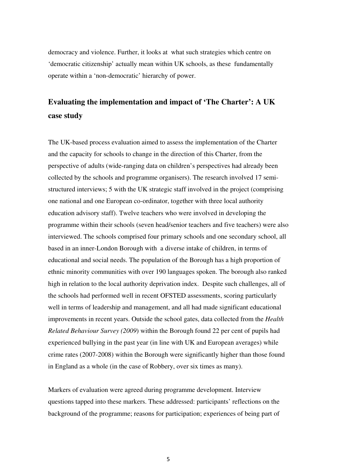democracy and violence. Further, it looks at what such strategies which centre on 'democratic citizenship' actually mean within UK schools, as these fundamentally operate within a 'non-democratic' hierarchy of power.

# **Evaluating the implementation and impact of 'The Charter': A UK case study**

The UK-based process evaluation aimed to assess the implementation of the Charter and the capacity for schools to change in the direction of this Charter, from the perspective of adults (wide-ranging data on children's perspectives had already been collected by the schools and programme organisers). The research involved 17 semistructured interviews; 5 with the UK strategic staff involved in the project (comprising one national and one European co-ordinator, together with three local authority education advisory staff). Twelve teachers who were involved in developing the programme within their schools (seven head/senior teachers and five teachers) were also interviewed. The schools comprised four primary schools and one secondary school, all based in an inner-London Borough with a diverse intake of children, in terms of educational and social needs. The population of the Borough has a high proportion of ethnic minority communities with over 190 languages spoken. The borough also ranked high in relation to the local authority deprivation index. Despite such challenges, all of the schools had performed well in recent OFSTED assessments, scoring particularly well in terms of leadership and management, and all had made significant educational improvements in recent years. Outside the school gates, data collected from the *Health Related Behaviour Survey (2009*) within the Borough found 22 per cent of pupils had experienced bullying in the past year (in line with UK and European averages) while crime rates (2007-2008) within the Borough were significantly higher than those found in England as a whole (in the case of Robbery, over six times as many).

Markers of evaluation were agreed during programme development. Interview questions tapped into these markers. These addressed: participants' reflections on the background of the programme; reasons for participation; experiences of being part of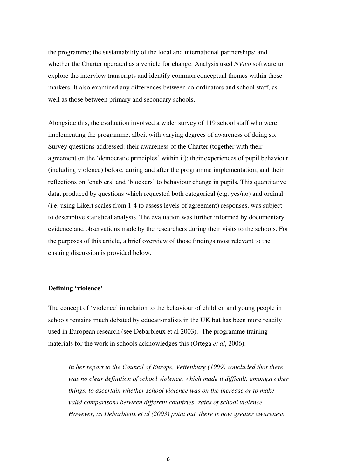the programme; the sustainability of the local and international partnerships; and whether the Charter operated as a vehicle for change. Analysis used *NVivo* software to explore the interview transcripts and identify common conceptual themes within these markers. It also examined any differences between co-ordinators and school staff, as well as those between primary and secondary schools.

Alongside this, the evaluation involved a wider survey of 119 school staff who were implementing the programme, albeit with varying degrees of awareness of doing so. Survey questions addressed: their awareness of the Charter (together with their agreement on the 'democratic principles' within it); their experiences of pupil behaviour (including violence) before, during and after the programme implementation; and their reflections on 'enablers' and 'blockers' to behaviour change in pupils. This quantitative data, produced by questions which requested both categorical (e.g. yes/no) and ordinal (i.e. using Likert scales from 1-4 to assess levels of agreement) responses, was subject to descriptive statistical analysis. The evaluation was further informed by documentary evidence and observations made by the researchers during their visits to the schools. For the purposes of this article, a brief overview of those findings most relevant to the ensuing discussion is provided below.

## **Defining 'violence'**

The concept of 'violence' in relation to the behaviour of children and young people in schools remains much debated by educationalists in the UK but has been more readily used in European research (see Debarbieux et al 2003). The programme training materials for the work in schools acknowledges this (Ortega *et al*, 2006):

*In her report to the Council of Europe, Vettenburg (1999) concluded that there was no clear definition of school violence, which made it difficult, amongst other things, to ascertain whether school violence was on the increase or to make valid comparisons between different countries' rates of school violence. However, as Debarbieux et al (2003) point out, there is now greater awareness*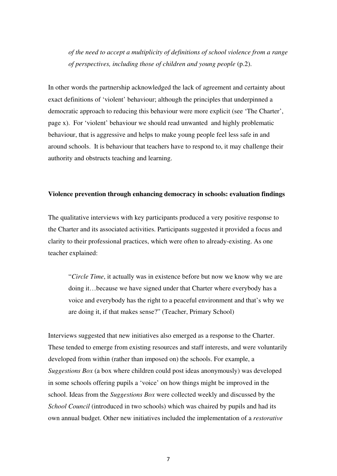*of the need to accept a multiplicity of definitions of school violence from a range of perspectives, including those of children and young people* (p.2).

In other words the partnership acknowledged the lack of agreement and certainty about exact definitions of 'violent' behaviour; although the principles that underpinned a democratic approach to reducing this behaviour were more explicit (see 'The Charter', page x). For 'violent' behaviour we should read unwanted and highly problematic behaviour, that is aggressive and helps to make young people feel less safe in and around schools. It is behaviour that teachers have to respond to, it may challenge their authority and obstructs teaching and learning.

#### **Violence prevention through enhancing democracy in schools: evaluation findings**

The qualitative interviews with key participants produced a very positive response to the Charter and its associated activities. Participants suggested it provided a focus and clarity to their professional practices, which were often to already-existing. As one teacher explained:

"*Circle Time*, it actually was in existence before but now we know why we are doing it…because we have signed under that Charter where everybody has a voice and everybody has the right to a peaceful environment and that's why we are doing it, if that makes sense?" (Teacher, Primary School)

Interviews suggested that new initiatives also emerged as a response to the Charter. These tended to emerge from existing resources and staff interests, and were voluntarily developed from within (rather than imposed on) the schools. For example, a *Suggestions Box* (a box where children could post ideas anonymously) was developed in some schools offering pupils a 'voice' on how things might be improved in the school. Ideas from the *Suggestions Box* were collected weekly and discussed by the *School Council* (introduced in two schools) which was chaired by pupils and had its own annual budget. Other new initiatives included the implementation of a *restorative*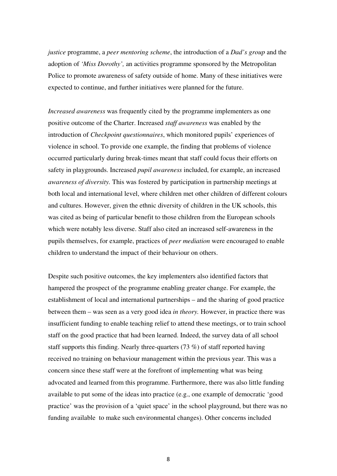*justice* programme, a *peer mentoring scheme*, the introduction of a *Dad's group* and the adoption of *'Miss Dorothy',* an activities programme sponsored by the Metropolitan Police to promote awareness of safety outside of home. Many of these initiatives were expected to continue, and further initiatives were planned for the future.

*Increased awareness* was frequently cited by the programme implementers as one positive outcome of the Charter. Increased *staff awareness* was enabled by the introduction of *Checkpoint questionnaires*, which monitored pupils' experiences of violence in school. To provide one example, the finding that problems of violence occurred particularly during break-times meant that staff could focus their efforts on safety in playgrounds. Increased *pupil awareness* included, for example, an increased *awareness of diversity.* This was fostered by participation in partnership meetings at both local and international level, where children met other children of different colours and cultures. However, given the ethnic diversity of children in the UK schools, this was cited as being of particular benefit to those children from the European schools which were notably less diverse. Staff also cited an increased self-awareness in the pupils themselves, for example, practices of *peer mediation* were encouraged to enable children to understand the impact of their behaviour on others.

Despite such positive outcomes, the key implementers also identified factors that hampered the prospect of the programme enabling greater change. For example, the establishment of local and international partnerships – and the sharing of good practice between them – was seen as a very good idea *in theory.* However, in practice there was insufficient funding to enable teaching relief to attend these meetings, or to train school staff on the good practice that had been learned. Indeed, the survey data of all school staff supports this finding. Nearly three-quarters (73 %) of staff reported having received no training on behaviour management within the previous year. This was a concern since these staff were at the forefront of implementing what was being advocated and learned from this programme. Furthermore, there was also little funding available to put some of the ideas into practice (e.g., one example of democratic 'good practice' was the provision of a 'quiet space' in the school playground, but there was no funding available to make such environmental changes). Other concerns included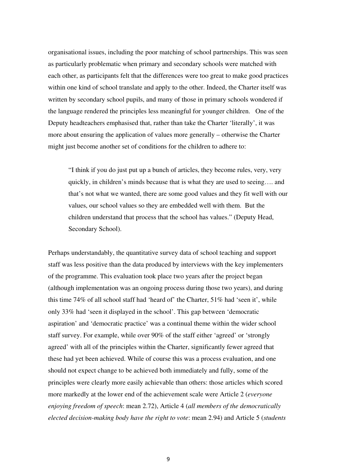organisational issues, including the poor matching of school partnerships. This was seen as particularly problematic when primary and secondary schools were matched with each other, as participants felt that the differences were too great to make good practices within one kind of school translate and apply to the other. Indeed, the Charter itself was written by secondary school pupils, and many of those in primary schools wondered if the language rendered the principles less meaningful for younger children. One of the Deputy headteachers emphasised that, rather than take the Charter 'literally', it was more about ensuring the application of values more generally – otherwise the Charter might just become another set of conditions for the children to adhere to:

"I think if you do just put up a bunch of articles, they become rules, very, very quickly, in children's minds because that is what they are used to seeing…. and that's not what we wanted, there are some good values and they fit well with our values, our school values so they are embedded well with them. But the children understand that process that the school has values." (Deputy Head, Secondary School).

Perhaps understandably, the quantitative survey data of school teaching and support staff was less positive than the data produced by interviews with the key implementers of the programme. This evaluation took place two years after the project began (although implementation was an ongoing process during those two years), and during this time 74% of all school staff had 'heard of' the Charter, 51% had 'seen it', while only 33% had 'seen it displayed in the school'. This gap between 'democratic aspiration' and 'democratic practice' was a continual theme within the wider school staff survey. For example, while over 90% of the staff either 'agreed' or 'strongly agreed' with all of the principles within the Charter, significantly fewer agreed that these had yet been achieved. While of course this was a process evaluation, and one should not expect change to be achieved both immediately and fully, some of the principles were clearly more easily achievable than others: those articles which scored more markedly at the lower end of the achievement scale were Article 2 (*everyone enjoying freedom of speech*: mean 2.72), Article 4 (*all members of the democratically elected decision-making body have the right to vote*: mean 2.94) and Article 5 (*students* 

9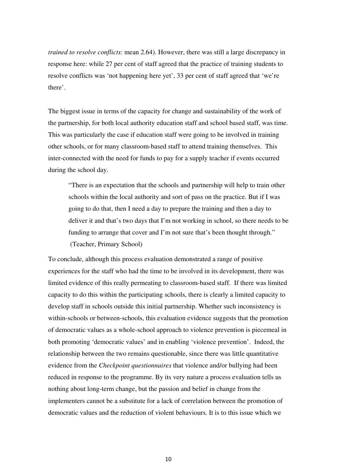*trained to resolve conflicts*: mean 2.64). However, there was still a large discrepancy in response here: while 27 per cent of staff agreed that the practice of training students to resolve conflicts was 'not happening here yet', 33 per cent of staff agreed that 'we're there'.

The biggest issue in terms of the capacity for change and sustainability of the work of the partnership, for both local authority education staff and school based staff, was time. This was particularly the case if education staff were going to be involved in training other schools, or for many classroom-based staff to attend training themselves. This inter-connected with the need for funds to pay for a supply teacher if events occurred during the school day.

"There is an expectation that the schools and partnership will help to train other schools within the local authority and sort of pass on the practice. But if I was going to do that, then I need a day to prepare the training and then a day to deliver it and that's two days that I'm not working in school, so there needs to be funding to arrange that cover and I'm not sure that's been thought through." (Teacher, Primary School)

To conclude, although this process evaluation demonstrated a range of positive experiences for the staff who had the time to be involved in its development, there was limited evidence of this really permeating to classroom-based staff. If there was limited capacity to do this within the participating schools, there is clearly a limited capacity to develop staff in schools outside this initial partnership. Whether such inconsistency is within-schools or between-schools, this evaluation evidence suggests that the promotion of democratic values as a whole-school approach to violence prevention is piecemeal in both promoting 'democratic values' and in enabling 'violence prevention'. Indeed, the relationship between the two remains questionable, since there was little quantitative evidence from the *Checkpoint questionnaires* that violence and/or bullying had been reduced in response to the programme. By its very nature a process evaluation tells us nothing about long-term change, but the passion and belief in change from the implementers cannot be a substitute for a lack of correlation between the promotion of democratic values and the reduction of violent behaviours. It is to this issue which we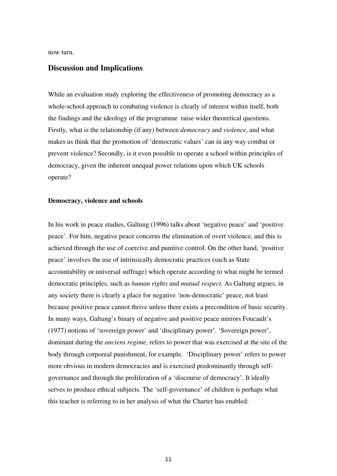now turn.

## **Discussion and Implications**

While an evaluation study exploring the effectiveness of promoting democracy as a whole-school approach to combating violence is clearly of interest within itself, both the findings and the ideology of the programme raise wider theoretical questions. Firstly, what is the relationship (if any) between *democracy* and *violence*, and what makes us think that the promotion of 'democratic values' can in any way combat or prevent violence? Secondly, is it even possible to operate a school within principles of democracy, given the inherent unequal power relations upon which UK schools operate?

#### **Democracy, violence and schools**

In his work in peace studies, Galtung (1996) talks about 'negative peace' and 'positive peace'. For him, negative peace concerns the elimination of overt violence, and this is achieved through the use of coercive and punitive control. On the other hand, 'positive peace' involves the use of intrinsically democratic practices (such as State accountability or universal suffrage) which operate according to what might be termed democratic principles, such as *human rights* and *mutual respect*. As Galtung argues, in any society there is clearly a place for negative 'non-democratic' peace, not least because positive peace cannot thrive unless there exists a precondition of basic security. In many ways, Galtung's binary of negative and positive peace mirrors Foucault's (1977) notions of 'sovereign power' and 'disciplinary power'. 'Sovereign power', dominant during the *anciens regime,* refers to power that was exercised at the site of the body through corporeal punishment, for example. 'Disciplinary power' refers to power more obvious in modern democracies and is exercised predominantly through selfgovernance and through the proliferation of a 'discourse of democracy'. It ideally serves to produce ethical subjects. The 'self-governance' of children is perhaps what this teacher is referring to in her analysis of what the Charter has enabled: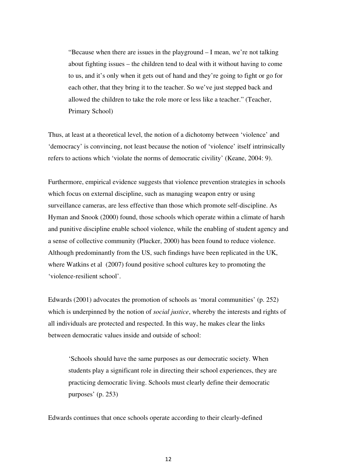"Because when there are issues in the playground – I mean, we're not talking about fighting issues – the children tend to deal with it without having to come to us, and it's only when it gets out of hand and they're going to fight or go for each other, that they bring it to the teacher. So we've just stepped back and allowed the children to take the role more or less like a teacher." (Teacher, Primary School)

Thus, at least at a theoretical level, the notion of a dichotomy between 'violence' and 'democracy' is convincing, not least because the notion of 'violence' itself intrinsically refers to actions which 'violate the norms of democratic civility' (Keane, 2004: 9).

Furthermore, empirical evidence suggests that violence prevention strategies in schools which focus on external discipline, such as managing weapon entry or using surveillance cameras, are less effective than those which promote self-discipline. As Hyman and Snook (2000) found, those schools which operate within a climate of harsh and punitive discipline enable school violence, while the enabling of student agency and a sense of collective community (Plucker, 2000) has been found to reduce violence. Although predominantly from the US, such findings have been replicated in the UK, where Watkins et al (2007) found positive school cultures key to promoting the 'violence-resilient school'.

Edwards (2001) advocates the promotion of schools as 'moral communities' (p. 252) which is underpinned by the notion of *social justice*, whereby the interests and rights of all individuals are protected and respected. In this way, he makes clear the links between democratic values inside and outside of school:

'Schools should have the same purposes as our democratic society. When students play a significant role in directing their school experiences, they are practicing democratic living. Schools must clearly define their democratic purposes' (p. 253)

Edwards continues that once schools operate according to their clearly-defined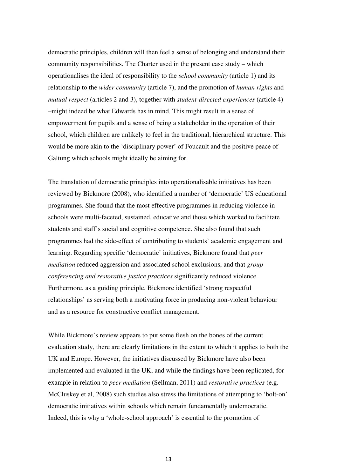democratic principles, children will then feel a sense of belonging and understand their community responsibilities. The Charter used in the present case study – which operationalises the ideal of responsibility to the *school community* (article 1) and its relationship to the *wider community* (article 7), and the promotion of *human rights* and *mutual respect* (articles 2 and 3), together with *student-directed experiences* (article 4) –might indeed be what Edwards has in mind. This might result in a sense of empowerment for pupils and a sense of being a stakeholder in the operation of their school, which children are unlikely to feel in the traditional, hierarchical structure. This would be more akin to the 'disciplinary power' of Foucault and the positive peace of Galtung which schools might ideally be aiming for.

The translation of democratic principles into operationalisable initiatives has been reviewed by Bickmore (2008), who identified a number of 'democratic' US educational programmes. She found that the most effective programmes in reducing violence in schools were multi-faceted, sustained, educative and those which worked to facilitate students and staff's social and cognitive competence. She also found that such programmes had the side-effect of contributing to students' academic engagement and learning. Regarding specific 'democratic' initiatives, Bickmore found that *peer mediation* reduced aggression and associated school exclusions, and that *group conferencing and restorative justice practices* significantly reduced violence. Furthermore, as a guiding principle, Bickmore identified 'strong respectful relationships' as serving both a motivating force in producing non-violent behaviour and as a resource for constructive conflict management.

While Bickmore's review appears to put some flesh on the bones of the current evaluation study, there are clearly limitations in the extent to which it applies to both the UK and Europe. However, the initiatives discussed by Bickmore have also been implemented and evaluated in the UK, and while the findings have been replicated, for example in relation to *peer mediation* (Sellman, 2011) and *restorative practices* (e.g. McCluskey et al, 2008) such studies also stress the limitations of attempting to 'bolt-on' democratic initiatives within schools which remain fundamentally undemocratic. Indeed, this is why a 'whole-school approach' is essential to the promotion of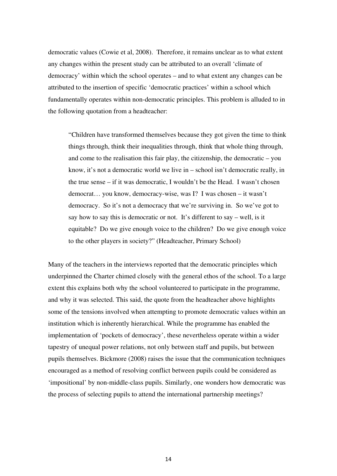democratic values (Cowie et al, 2008). Therefore, it remains unclear as to what extent any changes within the present study can be attributed to an overall 'climate of democracy' within which the school operates – and to what extent any changes can be attributed to the insertion of specific 'democratic practices' within a school which fundamentally operates within non-democratic principles. This problem is alluded to in the following quotation from a headteacher:

"Children have transformed themselves because they got given the time to think things through, think their inequalities through, think that whole thing through, and come to the realisation this fair play, the citizenship, the democratic – you know, it's not a democratic world we live in – school isn't democratic really, in the true sense – if it was democratic, I wouldn't be the Head. I wasn't chosen democrat… you know, democracy-wise, was I? I was chosen – it wasn't democracy. So it's not a democracy that we're surviving in. So we've got to say how to say this is democratic or not. It's different to say – well, is it equitable? Do we give enough voice to the children? Do we give enough voice to the other players in society?" (Headteacher, Primary School)

Many of the teachers in the interviews reported that the democratic principles which underpinned the Charter chimed closely with the general ethos of the school. To a large extent this explains both why the school volunteered to participate in the programme, and why it was selected. This said, the quote from the headteacher above highlights some of the tensions involved when attempting to promote democratic values within an institution which is inherently hierarchical. While the programme has enabled the implementation of 'pockets of democracy', these nevertheless operate within a wider tapestry of unequal power relations, not only between staff and pupils, but between pupils themselves. Bickmore (2008) raises the issue that the communication techniques encouraged as a method of resolving conflict between pupils could be considered as 'impositional' by non-middle-class pupils. Similarly, one wonders how democratic was the process of selecting pupils to attend the international partnership meetings?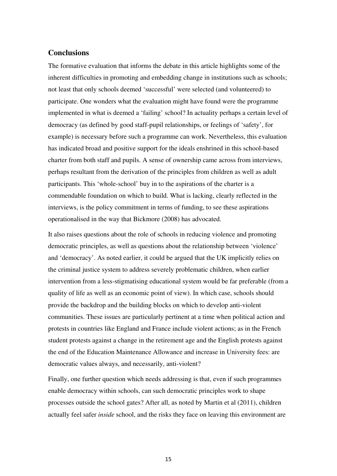# **Conclusions**

The formative evaluation that informs the debate in this article highlights some of the inherent difficulties in promoting and embedding change in institutions such as schools; not least that only schools deemed 'successful' were selected (and volunteered) to participate. One wonders what the evaluation might have found were the programme implemented in what is deemed a 'failing' school? In actuality perhaps a certain level of democracy (as defined by good staff-pupil relationships, or feelings of 'safety', for example) is necessary before such a programme can work. Nevertheless, this evaluation has indicated broad and positive support for the ideals enshrined in this school-based charter from both staff and pupils. A sense of ownership came across from interviews, perhaps resultant from the derivation of the principles from children as well as adult participants. This 'whole-school' buy in to the aspirations of the charter is a commendable foundation on which to build. What is lacking, clearly reflected in the interviews, is the policy commitment in terms of funding, to see these aspirations operationalised in the way that Bickmore (2008) has advocated.

It also raises questions about the role of schools in reducing violence and promoting democratic principles, as well as questions about the relationship between 'violence' and 'democracy'. As noted earlier, it could be argued that the UK implicitly relies on the criminal justice system to address severely problematic children, when earlier intervention from a less-stigmatising educational system would be far preferable (from a quality of life as well as an economic point of view). In which case, schools should provide the backdrop and the building blocks on which to develop anti-violent communities. These issues are particularly pertinent at a time when political action and protests in countries like England and France include violent actions; as in the French student protests against a change in the retirement age and the English protests against the end of the Education Maintenance Allowance and increase in University fees: are democratic values always, and necessarily, anti-violent?

Finally, one further question which needs addressing is that, even if such programmes enable democracy within schools, can such democratic principles work to shape processes outside the school gates? After all, as noted by Martin et al (2011), children actually feel safer *inside* school, and the risks they face on leaving this environment are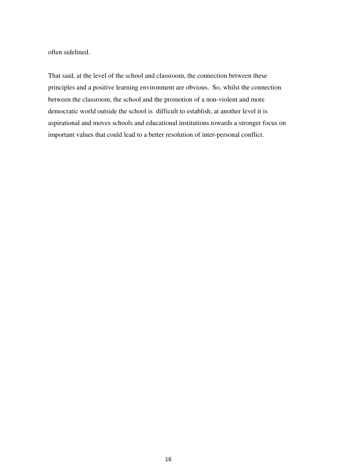often sidelined.

That said, at the level of the school and classroom, the connection between these principles and a positive learning environment are obvious. So, whilst the connection between the classroom, the school and the promotion of a non-violent and more democratic world outside the school is difficult to establish, at another level it is aspirational and moves schools and educational institutions towards a stronger focus on important values that could lead to a better resolution of inter-personal conflict.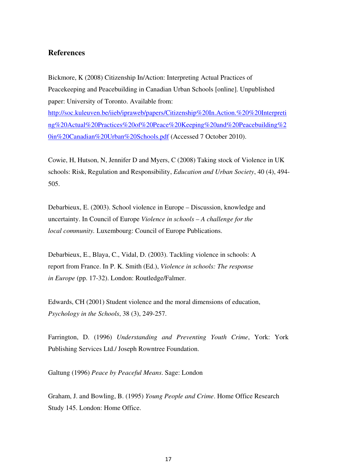# **References**

Bickmore, K (2008) Citizenship In/Action: Interpreting Actual Practices of Peacekeeping and Peacebuilding in Canadian Urban Schools [online]. Unpublished paper: University of Toronto. Available from:

http://soc.kuleuven.be/iieb/ipraweb/papers/Citizenship%20In.Action.%20%20Interpreti ng%20Actual%20Practices%20of%20Peace%20Keeping%20and%20Peacebuilding%2 0in%20Canadian%20Urban%20Schools.pdf (Accessed 7 October 2010).

Cowie, H, Hutson, N, Jennifer D and Myers, C (2008) Taking stock of Violence in UK schools: Risk, Regulation and Responsibility, *Education and Urban Society*, 40 (4), 494- 505.

Debarbieux, E. (2003). School violence in Europe – Discussion, knowledge and uncertainty. In Council of Europe *Violence in schools – A challenge for the local community.* Luxembourg: Council of Europe Publications.

Debarbieux, E., Blaya, C., Vidal, D. (2003). Tackling violence in schools: A report from France. In P. K. Smith (Ed.), *Violence in schools: The response in Europe* (pp. 17-32). London: Routledge/Falmer.

Edwards, CH (2001) Student violence and the moral dimensions of education, *Psychology in the Schools*, 38 (3), 249-257.

Farrington, D. (1996) *Understanding and Preventing Youth Crime*, York: York Publishing Services Ltd./ Joseph Rowntree Foundation.

Galtung (1996) *Peace by Peaceful Means*. Sage: London

Graham, J. and Bowling, B. (1995) *Young People and Crime*. Home Office Research Study 145. London: Home Office.